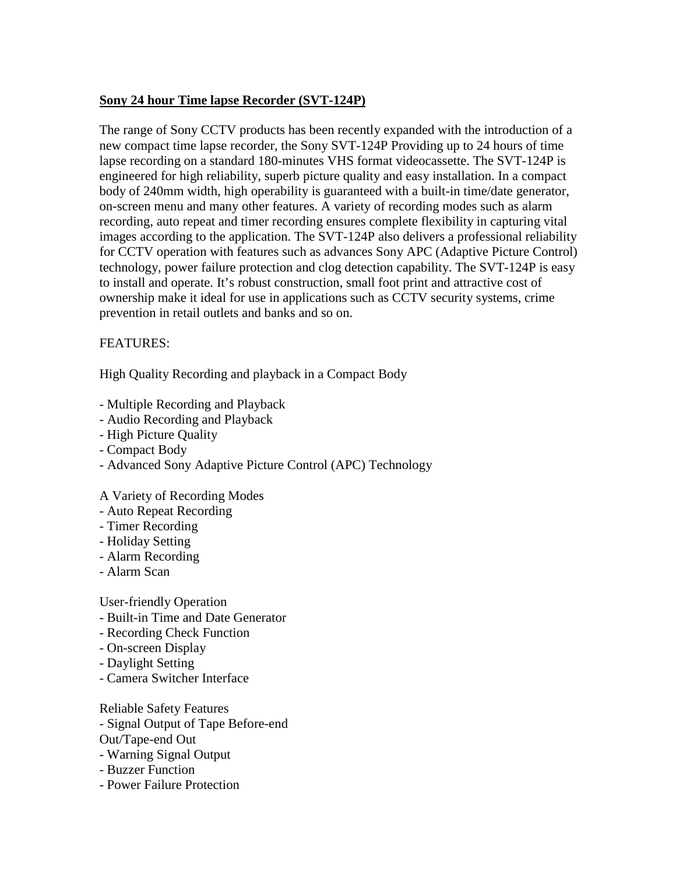## **Sony 24 hour Time lapse Recorder (SVT-124P)**

The range of Sony CCTV products has been recently expanded with the introduction of a new compact time lapse recorder, the Sony SVT-124P Providing up to 24 hours of time lapse recording on a standard 180-minutes VHS format videocassette. The SVT-124P is engineered for high reliability, superb picture quality and easy installation. In a compact body of 240mm width, high operability is guaranteed with a built-in time/date generator, on-screen menu and many other features. A variety of recording modes such as alarm recording, auto repeat and timer recording ensures complete flexibility in capturing vital images according to the application. The SVT-124P also delivers a professional reliability for CCTV operation with features such as advances Sony APC (Adaptive Picture Control) technology, power failure protection and clog detection capability. The SVT-124P is easy to install and operate. It's robust construction, small foot print and attractive cost of ownership make it ideal for use in applications such as CCTV security systems, crime prevention in retail outlets and banks and so on.

## FEATURES:

High Quality Recording and playback in a Compact Body

- Multiple Recording and Playback
- Audio Recording and Playback
- High Picture Quality
- Compact Body
- Advanced Sony Adaptive Picture Control (APC) Technology

## A Variety of Recording Modes

- Auto Repeat Recording
- Timer Recording
- Holiday Setting
- Alarm Recording
- Alarm Scan

User-friendly Operation

- Built-in Time and Date Generator
- Recording Check Function
- On-screen Display
- Daylight Setting
- Camera Switcher Interface

Reliable Safety Features - Signal Output of Tape Before-end Out/Tape-end Out

- Warning Signal Output
- Buzzer Function
- Power Failure Protection